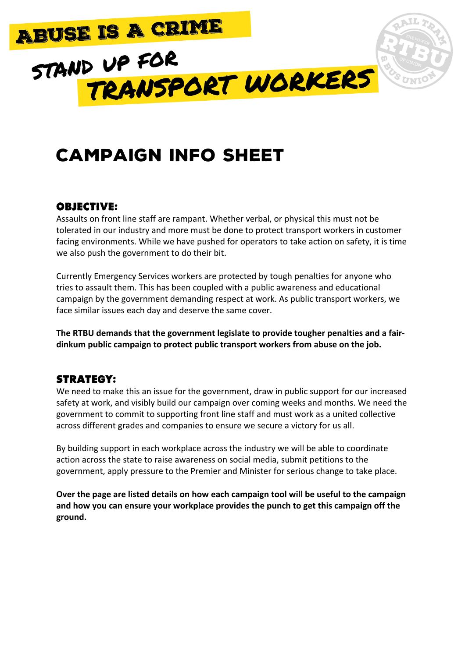

# CAMPAIGN INFO SHEET

### Objective:

Assaults on front line staff are rampant. Whether verbal, or physical this must not be tolerated in our industry and more must be done to protect transport workers in customer facing environments. While we have pushed for operators to take action on safety, it is time we also push the government to do their bit.

Currently Emergency Services workers are protected by tough penalties for anyone who tries to assault them. This has been coupled with a public awareness and educational campaign by the government demanding respect at work. As public transport workers, we face similar issues each day and deserve the same cover.

The RTBU demands that the government legislate to provide tougher penalties and a fairdinkum public campaign to protect public transport workers from abuse on the job.

## Strategy:

We need to make this an issue for the government, draw in public support for our increased safety at work, and visibly build our campaign over coming weeks and months. We need the government to commit to supporting front line staff and must work as a united collective across different grades and companies to ensure we secure a victory for us all.

By building support in each workplace across the industry we will be able to coordinate action across the state to raise awareness on social media, submit petitions to the government, apply pressure to the Premier and Minister for serious change to take place.

Over the page are listed details on how each campaign tool will be useful to the campaign and how you can ensure your workplace provides the punch to get this campaign off the **ground.**